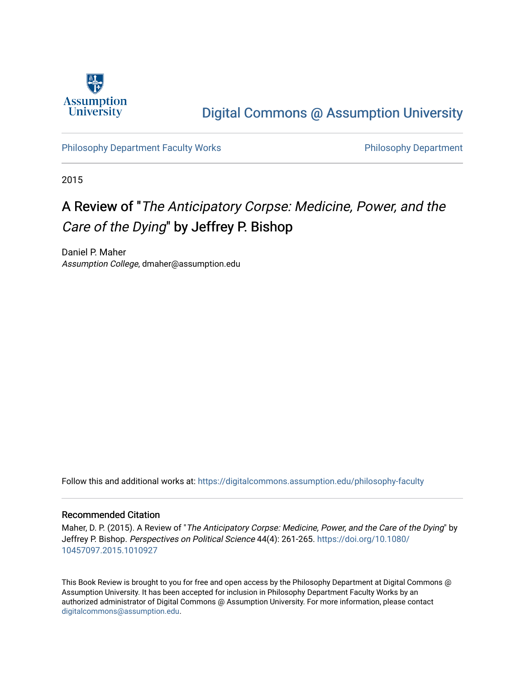

## [Digital Commons @ Assumption University](https://digitalcommons.assumption.edu/)

[Philosophy Department Faculty Works](https://digitalcommons.assumption.edu/philosophy-faculty) **Philosophy Department** 

2015

## A Review of "The Anticipatory Corpse: Medicine, Power, and the Care of the Dying" by Jeffrey P. Bishop

Daniel P. Maher Assumption College, dmaher@assumption.edu

Follow this and additional works at: [https://digitalcommons.assumption.edu/philosophy-faculty](https://digitalcommons.assumption.edu/philosophy-faculty?utm_source=digitalcommons.assumption.edu%2Fphilosophy-faculty%2F23&utm_medium=PDF&utm_campaign=PDFCoverPages) 

## Recommended Citation

Maher, D. P. (2015). A Review of "The Anticipatory Corpse: Medicine, Power, and the Care of the Dying" by Jeffrey P. Bishop. Perspectives on Political Science 44(4): 261-265. [https://doi.org/10.1080/](https://doi.org/10.1080/10457097.2015.1010927) [10457097.2015.1010927](https://doi.org/10.1080/10457097.2015.1010927) 

This Book Review is brought to you for free and open access by the Philosophy Department at Digital Commons @ Assumption University. It has been accepted for inclusion in Philosophy Department Faculty Works by an authorized administrator of Digital Commons @ Assumption University. For more information, please contact [digitalcommons@assumption.edu](mailto:digitalcommons@assumption.edu).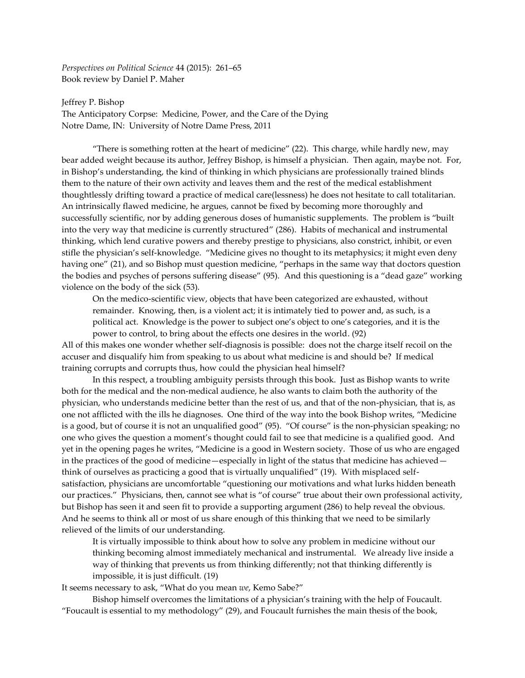*Perspectives on Political Science* 44 (2015): 261–65 Book review by Daniel P. Maher

Jeffrey P. Bishop The Anticipatory Corpse: Medicine, Power, and the Care of the Dying Notre Dame, IN: University of Notre Dame Press, 2011

"There is something rotten at the heart of medicine" (22). This charge, while hardly new, may bear added weight because its author, Jeffrey Bishop, is himself a physician. Then again, maybe not. For, in Bishop's understanding, the kind of thinking in which physicians are professionally trained blinds them to the nature of their own activity and leaves them and the rest of the medical establishment thoughtlessly drifting toward a practice of medical care(lessness) he does not hesitate to call totalitarian. An intrinsically flawed medicine, he argues, cannot be fixed by becoming more thoroughly and successfully scientific, nor by adding generous doses of humanistic supplements. The problem is "built into the very way that medicine is currently structured" (286). Habits of mechanical and instrumental thinking, which lend curative powers and thereby prestige to physicians, also constrict, inhibit, or even stifle the physician's self-knowledge. "Medicine gives no thought to its metaphysics; it might even deny having one" (21), and so Bishop must question medicine, "perhaps in the same way that doctors question the bodies and psyches of persons suffering disease" (95). And this questioning is a "dead gaze" working violence on the body of the sick (53).

On the medico-scientific view, objects that have been categorized are exhausted, without remainder. Knowing, then, is a violent act; it is intimately tied to power and, as such, is a political act. Knowledge is the power to subject one's object to one's categories, and it is the power to control, to bring about the effects one desires in the world. (92)

All of this makes one wonder whether self-diagnosis is possible: does not the charge itself recoil on the accuser and disqualify him from speaking to us about what medicine is and should be? If medical training corrupts and corrupts thus, how could the physician heal himself?

In this respect, a troubling ambiguity persists through this book. Just as Bishop wants to write both for the medical and the non-medical audience, he also wants to claim both the authority of the physician, who understands medicine better than the rest of us, and that of the non-physician, that is, as one not afflicted with the ills he diagnoses. One third of the way into the book Bishop writes, "Medicine is a good, but of course it is not an unqualified good" (95). "Of course" is the non-physician speaking; no one who gives the question a moment's thought could fail to see that medicine is a qualified good. And yet in the opening pages he writes, "Medicine is a good in Western society. Those of us who are engaged in the practices of the good of medicine—especially in light of the status that medicine has achieved think of ourselves as practicing a good that is virtually unqualified" (19). With misplaced selfsatisfaction, physicians are uncomfortable "questioning our motivations and what lurks hidden beneath our practices." Physicians, then, cannot see what is "of course" true about their own professional activity, but Bishop has seen it and seen fit to provide a supporting argument (286) to help reveal the obvious. And he seems to think all or most of us share enough of this thinking that we need to be similarly relieved of the limits of our understanding.

It is virtually impossible to think about how to solve any problem in medicine without our thinking becoming almost immediately mechanical and instrumental. We already live inside a way of thinking that prevents us from thinking differently; not that thinking differently is impossible, it is just difficult. (19)

It seems necessary to ask, "What do you mean *we*, Kemo Sabe?"

Bishop himself overcomes the limitations of a physician's training with the help of Foucault. "Foucault is essential to my methodology" (29), and Foucault furnishes the main thesis of the book,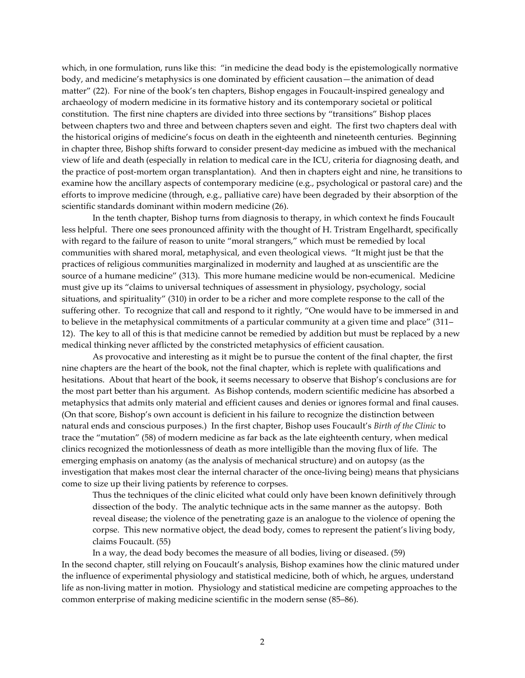which, in one formulation, runs like this: "in medicine the dead body is the epistemologically normative body, and medicine's metaphysics is one dominated by efficient causation—the animation of dead matter" (22). For nine of the book's ten chapters, Bishop engages in Foucault-inspired genealogy and archaeology of modern medicine in its formative history and its contemporary societal or political constitution. The first nine chapters are divided into three sections by "transitions" Bishop places between chapters two and three and between chapters seven and eight. The first two chapters deal with the historical origins of medicine's focus on death in the eighteenth and nineteenth centuries. Beginning in chapter three, Bishop shifts forward to consider present-day medicine as imbued with the mechanical view of life and death (especially in relation to medical care in the ICU, criteria for diagnosing death, and the practice of post-mortem organ transplantation). And then in chapters eight and nine, he transitions to examine how the ancillary aspects of contemporary medicine (e.g., psychological or pastoral care) and the efforts to improve medicine (through, e.g., palliative care) have been degraded by their absorption of the scientific standards dominant within modern medicine (26).

In the tenth chapter, Bishop turns from diagnosis to therapy, in which context he finds Foucault less helpful. There one sees pronounced affinity with the thought of H. Tristram Engelhardt, specifically with regard to the failure of reason to unite "moral strangers," which must be remedied by local communities with shared moral, metaphysical, and even theological views. "It might just be that the practices of religious communities marginalized in modernity and laughed at as unscientific are the source of a humane medicine" (313). This more humane medicine would be non-ecumenical. Medicine must give up its "claims to universal techniques of assessment in physiology, psychology, social situations, and spirituality" (310) in order to be a richer and more complete response to the call of the suffering other. To recognize that call and respond to it rightly, "One would have to be immersed in and to believe in the metaphysical commitments of a particular community at a given time and place" (311– 12). The key to all of this is that medicine cannot be remedied by addition but must be replaced by a new medical thinking never afflicted by the constricted metaphysics of efficient causation.

As provocative and interesting as it might be to pursue the content of the final chapter, the first nine chapters are the heart of the book, not the final chapter, which is replete with qualifications and hesitations. About that heart of the book, it seems necessary to observe that Bishop's conclusions are for the most part better than his argument. As Bishop contends, modern scientific medicine has absorbed a metaphysics that admits only material and efficient causes and denies or ignores formal and final causes. (On that score, Bishop's own account is deficient in his failure to recognize the distinction between natural ends and conscious purposes.) In the first chapter, Bishop uses Foucault's *Birth of the Clinic* to trace the "mutation" (58) of modern medicine as far back as the late eighteenth century, when medical clinics recognized the motionlessness of death as more intelligible than the moving flux of life. The emerging emphasis on anatomy (as the analysis of mechanical structure) and on autopsy (as the investigation that makes most clear the internal character of the once-living being) means that physicians come to size up their living patients by reference to corpses.

Thus the techniques of the clinic elicited what could only have been known definitively through dissection of the body. The analytic technique acts in the same manner as the autopsy. Both reveal disease; the violence of the penetrating gaze is an analogue to the violence of opening the corpse. This new normative object, the dead body, comes to represent the patient's living body, claims Foucault. (55)

In a way, the dead body becomes the measure of all bodies, living or diseased. (59) In the second chapter, still relying on Foucault's analysis, Bishop examines how the clinic matured under the influence of experimental physiology and statistical medicine, both of which, he argues, understand life as non-living matter in motion. Physiology and statistical medicine are competing approaches to the common enterprise of making medicine scientific in the modern sense (85–86).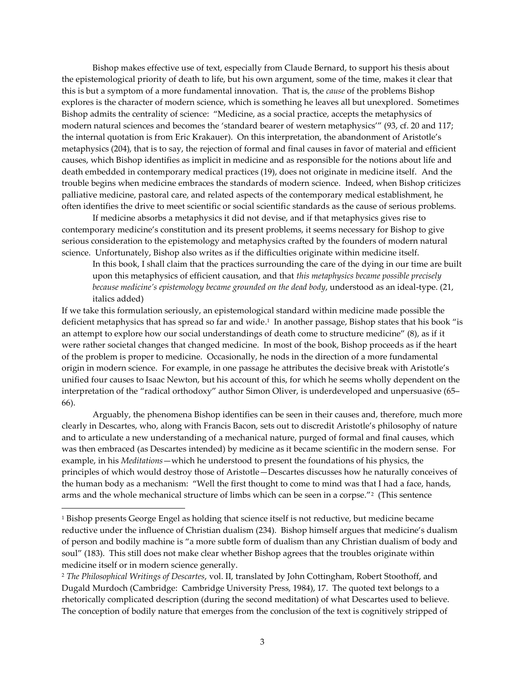Bishop makes effective use of text, especially from Claude Bernard, to support his thesis about the epistemological priority of death to life, but his own argument, some of the time, makes it clear that this is but a symptom of a more fundamental innovation. That is, the *cause* of the problems Bishop explores is the character of modern science, which is something he leaves all but unexplored. Sometimes Bishop admits the centrality of science: "Medicine, as a social practice, accepts the metaphysics of modern natural sciences and becomes the 'standard bearer of western metaphysics'" (93, cf. 20 and 117; the internal quotation is from Eric Krakauer). On this interpretation, the abandonment of Aristotle's metaphysics (204), that is to say, the rejection of formal and final causes in favor of material and efficient causes, which Bishop identifies as implicit in medicine and as responsible for the notions about life and death embedded in contemporary medical practices (19), does not originate in medicine itself. And the trouble begins when medicine embraces the standards of modern science. Indeed, when Bishop criticizes palliative medicine, pastoral care, and related aspects of the contemporary medical establishment, he often identifies the drive to meet scientific or social scientific standards as the cause of serious problems.

If medicine absorbs a metaphysics it did not devise, and if that metaphysics gives rise to contemporary medicine's constitution and its present problems, it seems necessary for Bishop to give serious consideration to the epistemology and metaphysics crafted by the founders of modern natural science. Unfortunately, Bishop also writes as if the difficulties originate within medicine itself.

In this book, I shall claim that the practices surrounding the care of the dying in our time are built upon this metaphysics of efficient causation, and that *this metaphysics became possible precisely because medicine's epistemology became grounded on the dead body*, understood as an ideal-type. (21, italics added)

If we take this formulation seriously, an epistemological standard within medicine made possible the deficient metaphysics that has spread so far and wide. 1 In another passage, Bishop states that his book "is an attempt to explore how our social understandings of death come to structure medicine" (8), as if it were rather societal changes that changed medicine. In most of the book, Bishop proceeds as if the heart of the problem is proper to medicine. Occasionally, he nods in the direction of a more fundamental origin in modern science. For example, in one passage he attributes the decisive break with Aristotle's unified four causes to Isaac Newton, but his account of this, for which he seems wholly dependent on the interpretation of the "radical orthodoxy" author Simon Oliver, is underdeveloped and unpersuasive (65– 66).

Arguably, the phenomena Bishop identifies can be seen in their causes and, therefore, much more clearly in Descartes, who, along with Francis Bacon, sets out to discredit Aristotle's philosophy of nature and to articulate a new understanding of a mechanical nature, purged of formal and final causes, which was then embraced (as Descartes intended) by medicine as it became scientific in the modern sense. For example, in his *Meditations*—which he understood to present the foundations of his physics, the principles of which would destroy those of Aristotle—Descartes discusses how he naturally conceives of the human body as a mechanism: "Well the first thought to come to mind was that I had a face, hands, arms and the whole mechanical structure of limbs which can be seen in a corpse."<sup>2</sup> (This sentence

 $\overline{a}$ 

<sup>1</sup> Bishop presents George Engel as holding that science itself is not reductive, but medicine became reductive under the influence of Christian dualism (234). Bishop himself argues that medicine's dualism of person and bodily machine is "a more subtle form of dualism than any Christian dualism of body and soul" (183). This still does not make clear whether Bishop agrees that the troubles originate within medicine itself or in modern science generally.

<sup>2</sup> *The Philosophical Writings of Descartes*, vol. II, translated by John Cottingham, Robert Stoothoff, and Dugald Murdoch (Cambridge: Cambridge University Press, 1984), 17. The quoted text belongs to a rhetorically complicated description (during the second meditation) of what Descartes used to believe. The conception of bodily nature that emerges from the conclusion of the text is cognitively stripped of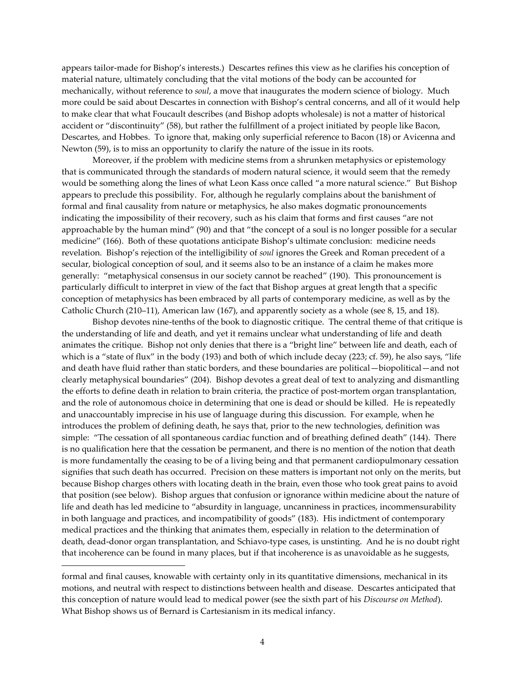appears tailor-made for Bishop's interests.) Descartes refines this view as he clarifies his conception of material nature, ultimately concluding that the vital motions of the body can be accounted for mechanically, without reference to *soul*, a move that inaugurates the modern science of biology. Much more could be said about Descartes in connection with Bishop's central concerns, and all of it would help to make clear that what Foucault describes (and Bishop adopts wholesale) is not a matter of historical accident or "discontinuity" (58), but rather the fulfillment of a project initiated by people like Bacon, Descartes, and Hobbes. To ignore that, making only superficial reference to Bacon (18) or Avicenna and Newton (59), is to miss an opportunity to clarify the nature of the issue in its roots.

Moreover, if the problem with medicine stems from a shrunken metaphysics or epistemology that is communicated through the standards of modern natural science, it would seem that the remedy would be something along the lines of what Leon Kass once called "a more natural science." But Bishop appears to preclude this possibility. For, although he regularly complains about the banishment of formal and final causality from nature or metaphysics, he also makes dogmatic pronouncements indicating the impossibility of their recovery, such as his claim that forms and first causes "are not approachable by the human mind" (90) and that "the concept of a soul is no longer possible for a secular medicine" (166). Both of these quotations anticipate Bishop's ultimate conclusion: medicine needs revelation. Bishop's rejection of the intelligibility of *soul* ignores the Greek and Roman precedent of a secular, biological conception of soul, and it seems also to be an instance of a claim he makes more generally: "metaphysical consensus in our society cannot be reached" (190). This pronouncement is particularly difficult to interpret in view of the fact that Bishop argues at great length that a specific conception of metaphysics has been embraced by all parts of contemporary medicine, as well as by the Catholic Church (210–11), American law (167), and apparently society as a whole (see 8, 15, and 18).

Bishop devotes nine-tenths of the book to diagnostic critique. The central theme of that critique is the understanding of life and death, and yet it remains unclear what understanding of life and death animates the critique. Bishop not only denies that there is a "bright line" between life and death, each of which is a "state of flux" in the body (193) and both of which include decay (223; cf. 59), he also says, "life and death have fluid rather than static borders, and these boundaries are political—biopolitical—and not clearly metaphysical boundaries" (204). Bishop devotes a great deal of text to analyzing and dismantling the efforts to define death in relation to brain criteria, the practice of post-mortem organ transplantation, and the role of autonomous choice in determining that one is dead or should be killed. He is repeatedly and unaccountably imprecise in his use of language during this discussion. For example, when he introduces the problem of defining death, he says that, prior to the new technologies, definition was simple: "The cessation of all spontaneous cardiac function and of breathing defined death" (144). There is no qualification here that the cessation be permanent, and there is no mention of the notion that death is more fundamentally the ceasing to be of a living being and that permanent cardiopulmonary cessation signifies that such death has occurred. Precision on these matters is important not only on the merits, but because Bishop charges others with locating death in the brain, even those who took great pains to avoid that position (see below). Bishop argues that confusion or ignorance within medicine about the nature of life and death has led medicine to "absurdity in language, uncanniness in practices, incommensurability in both language and practices, and incompatibility of goods" (183). His indictment of contemporary medical practices and the thinking that animates them, especially in relation to the determination of death, dead-donor organ transplantation, and Schiavo-type cases, is unstinting. And he is no doubt right that incoherence can be found in many places, but if that incoherence is as unavoidable as he suggests,

 $\overline{a}$ 

formal and final causes, knowable with certainty only in its quantitative dimensions, mechanical in its motions, and neutral with respect to distinctions between health and disease. Descartes anticipated that this conception of nature would lead to medical power (see the sixth part of his *Discourse on Method*). What Bishop shows us of Bernard is Cartesianism in its medical infancy.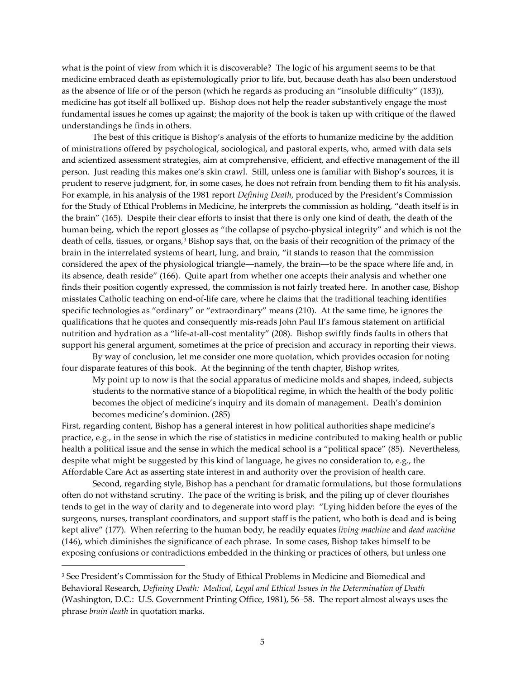what is the point of view from which it is discoverable? The logic of his argument seems to be that medicine embraced death as epistemologically prior to life, but, because death has also been understood as the absence of life or of the person (which he regards as producing an "insoluble difficulty" (183)), medicine has got itself all bollixed up. Bishop does not help the reader substantively engage the most fundamental issues he comes up against; the majority of the book is taken up with critique of the flawed understandings he finds in others.

The best of this critique is Bishop's analysis of the efforts to humanize medicine by the addition of ministrations offered by psychological, sociological, and pastoral experts, who, armed with data sets and scientized assessment strategies, aim at comprehensive, efficient, and effective management of the ill person. Just reading this makes one's skin crawl. Still, unless one is familiar with Bishop's sources, it is prudent to reserve judgment, for, in some cases, he does not refrain from bending them to fit his analysis. For example, in his analysis of the 1981 report *Defining Death*, produced by the President's Commission for the Study of Ethical Problems in Medicine, he interprets the commission as holding, "death itself is in the brain" (165). Despite their clear efforts to insist that there is only one kind of death, the death of the human being, which the report glosses as "the collapse of psycho-physical integrity" and which is not the death of cells, tissues, or organs,<sup>3</sup> Bishop says that, on the basis of their recognition of the primacy of the brain in the interrelated systems of heart, lung, and brain, "it stands to reason that the commission considered the apex of the physiological triangle––namely, the brain––to be the space where life and, in its absence, death reside" (166). Quite apart from whether one accepts their analysis and whether one finds their position cogently expressed, the commission is not fairly treated here. In another case, Bishop misstates Catholic teaching on end-of-life care, where he claims that the traditional teaching identifies specific technologies as "ordinary" or "extraordinary" means (210). At the same time, he ignores the qualifications that he quotes and consequently mis-reads John Paul II's famous statement on artificial nutrition and hydration as a "life-at-all-cost mentality" (208). Bishop swiftly finds faults in others that support his general argument, sometimes at the price of precision and accuracy in reporting their views.

By way of conclusion, let me consider one more quotation, which provides occasion for noting four disparate features of this book. At the beginning of the tenth chapter, Bishop writes,

My point up to now is that the social apparatus of medicine molds and shapes, indeed, subjects students to the normative stance of a biopolitical regime, in which the health of the body politic becomes the object of medicine's inquiry and its domain of management. Death's dominion becomes medicine's dominion. (285)

First, regarding content, Bishop has a general interest in how political authorities shape medicine's practice, e.g., in the sense in which the rise of statistics in medicine contributed to making health or public health a political issue and the sense in which the medical school is a "political space" (85). Nevertheless, despite what might be suggested by this kind of language, he gives no consideration to, e.g., the Affordable Care Act as asserting state interest in and authority over the provision of health care.

Second, regarding style, Bishop has a penchant for dramatic formulations, but those formulations often do not withstand scrutiny. The pace of the writing is brisk, and the piling up of clever flourishes tends to get in the way of clarity and to degenerate into word play: "Lying hidden before the eyes of the surgeons, nurses, transplant coordinators, and support staff is the patient, who both is dead and is being kept alive" (177). When referring to the human body, he readily equates *living machine* and *dead machine* (146), which diminishes the significance of each phrase. In some cases, Bishop takes himself to be exposing confusions or contradictions embedded in the thinking or practices of others, but unless one

 $\overline{a}$ 

<sup>3</sup> See President's Commission for the Study of Ethical Problems in Medicine and Biomedical and Behavioral Research, *Defining Death: Medical, Legal and Ethical Issues in the Determination of Death* (Washington, D.C.: U.S. Government Printing Office, 1981), 56–58. The report almost always uses the phrase *brain death* in quotation marks.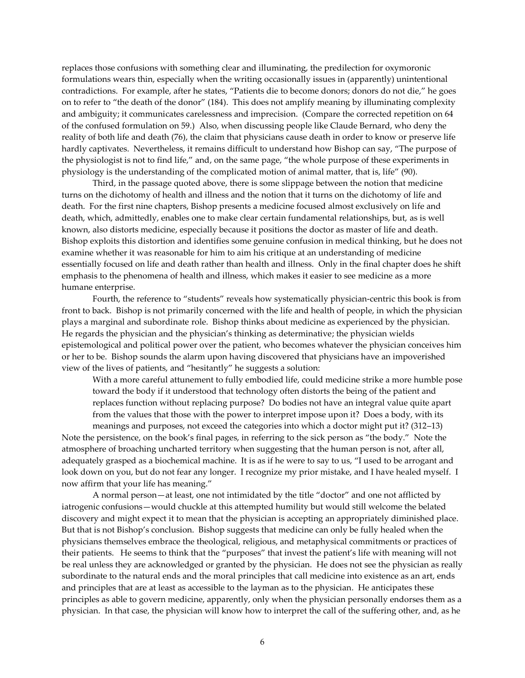replaces those confusions with something clear and illuminating, the predilection for oxymoronic formulations wears thin, especially when the writing occasionally issues in (apparently) unintentional contradictions. For example, after he states, "Patients die to become donors; donors do not die," he goes on to refer to "the death of the donor" (184). This does not amplify meaning by illuminating complexity and ambiguity; it communicates carelessness and imprecision. (Compare the corrected repetition on 64 of the confused formulation on 59.) Also, when discussing people like Claude Bernard, who deny the reality of both life and death (76), the claim that physicians cause death in order to know or preserve life hardly captivates. Nevertheless, it remains difficult to understand how Bishop can say, "The purpose of the physiologist is not to find life," and, on the same page, "the whole purpose of these experiments in physiology is the understanding of the complicated motion of animal matter, that is, life" (90).

Third, in the passage quoted above, there is some slippage between the notion that medicine turns on the dichotomy of health and illness and the notion that it turns on the dichotomy of life and death. For the first nine chapters, Bishop presents a medicine focused almost exclusively on life and death, which, admittedly, enables one to make clear certain fundamental relationships, but, as is well known, also distorts medicine, especially because it positions the doctor as master of life and death. Bishop exploits this distortion and identifies some genuine confusion in medical thinking, but he does not examine whether it was reasonable for him to aim his critique at an understanding of medicine essentially focused on life and death rather than health and illness. Only in the final chapter does he shift emphasis to the phenomena of health and illness, which makes it easier to see medicine as a more humane enterprise.

Fourth, the reference to "students" reveals how systematically physician-centric this book is from front to back. Bishop is not primarily concerned with the life and health of people, in which the physician plays a marginal and subordinate role. Bishop thinks about medicine as experienced by the physician. He regards the physician and the physician's thinking as determinative; the physician wields epistemological and political power over the patient, who becomes whatever the physician conceives him or her to be. Bishop sounds the alarm upon having discovered that physicians have an impoverished view of the lives of patients, and "hesitantly" he suggests a solution:

With a more careful attunement to fully embodied life, could medicine strike a more humble pose toward the body if it understood that technology often distorts the being of the patient and replaces function without replacing purpose? Do bodies not have an integral value quite apart from the values that those with the power to interpret impose upon it? Does a body, with its

meanings and purposes, not exceed the categories into which a doctor might put it? (312–13) Note the persistence, on the book's final pages, in referring to the sick person as "the body." Note the atmosphere of broaching uncharted territory when suggesting that the human person is not, after all, adequately grasped as a biochemical machine. It is as if he were to say to us, "I used to be arrogant and look down on you, but do not fear any longer. I recognize my prior mistake, and I have healed myself. I now affirm that your life has meaning."

A normal person—at least, one not intimidated by the title "doctor" and one not afflicted by iatrogenic confusions—would chuckle at this attempted humility but would still welcome the belated discovery and might expect it to mean that the physician is accepting an appropriately diminished place. But that is not Bishop's conclusion. Bishop suggests that medicine can only be fully healed when the physicians themselves embrace the theological, religious, and metaphysical commitments or practices of their patients. He seems to think that the "purposes" that invest the patient's life with meaning will not be real unless they are acknowledged or granted by the physician. He does not see the physician as really subordinate to the natural ends and the moral principles that call medicine into existence as an art, ends and principles that are at least as accessible to the layman as to the physician. He anticipates these principles as able to govern medicine, apparently, only when the physician personally endorses them as a physician. In that case, the physician will know how to interpret the call of the suffering other, and, as he